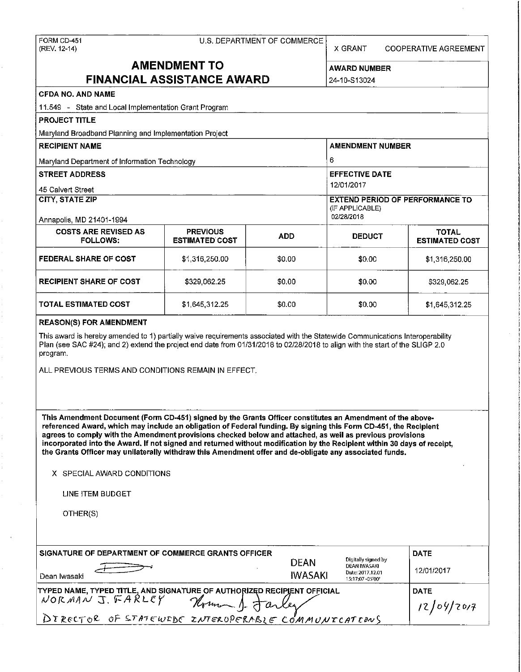# FORM CD-451 U.S. DEPARTMENT OF COMMERCE

X GRANT COOPERATIVE AGREEMENT

## **AMENDMENT TO** AWARD NUMBER **FINANCIAL ASSISTANCE AWARD** 24-10-S13024

## **CFDA NO. AND NAME**  11.549 - State and Local Implementation Grant Program **PROJECT TITLE**  Maryland Broadband Planning and Implementation Project RECIPIENT NAME AMENDMENT NUMBER **AMENDMENT NUMBER** Maryland Department of Information Technology 6 **STREET ADDRESS EXECUTE DATE IN A STREET ADDRESS EFFECTIVE DATE** 45 Calvert Street **12/01/2017 CITY, STATE ZIP** EXTEND PERIOD OF PERFORMANCE TO (IF APPLICABLE)<br>02/28/2018 Annapolis, MD 21401-1994 COSTS ARE REVISED AS PREVIOUS **ADD** DEDUCT **ESTIMATED**<br>FOLLOWS: ESTIMATED COST **ADD** DEDUCT ESTIMATED **ESTIMATED COST FEDERAL SHARE OF COST**  $$1,316,250.00$   $$0.00$   $$1,316,250.00$   $$1,316,250.00$ **RECIPIENT SHARE OF COST**  $\begin{array}{ccc} 1 & 329,062.25 \\ 1 & 3329,062.25 \end{array}$  **\$0.00 \$329,062.25**

#### **REASON(S) FOR AMENDMENT**

This award is hereby amended to 1) partially waive requirements associated with the Statewide Communications Interoperability Plan (see SAC #24); and 2) extend the project end date from 01/31/2018 to 02/28/2018 to align with the start of the SLIGP 2.0 program.

**TOTAL ESTIMATED COST**  $$1,645,312.25$  $$0.00$  $$1,645,312.25$ 

ALL PREVIOUS TERMS AND CONDITIONS REMAIN IN EFFECT.

**This Amendment Document (Form CD-451) signed by the Grants Officer constitutes an Amendment of the abovereferenced Award, which may include an obligation of Federal funding. By signing this Form CD-451, the Recipient**  agrees to comply with the Amendment provisions checked below and attached, as well as previous provisions **incorporated into the Award. If not signed and returned without modification by the Recipient within 30 days of receipt, the Grants Officer may unilaterally withdraw this Amendment offer and de-obligate any associated funds.** 

X SPECIAL AWARD CONDITIONS

LINE ITEM BUDGET

OTHER(S)

| SIGNATURE OF DEPARTMENT OF COMMERCE GRANTS OFFICER<br>Dean Iwasaki                                                                                                            | <b>DEAN</b><br><b>IWASAKI</b> | Digitally signed by<br>DEAN IWASAKI<br>Date: 2017 12.01<br>15:17:07 - 05'00' | <b>DATE</b><br>12/01/2017 |
|-------------------------------------------------------------------------------------------------------------------------------------------------------------------------------|-------------------------------|------------------------------------------------------------------------------|---------------------------|
| TYPED NAME, TYPED TITLE, AND SIGNATURE OF AUTHORIZED RECIPIENT OFFICIAL<br>NORMANT, FARLEY Verman A<br>Houman 1. Jarley<br>DIRECTOR OF STATEWEDE INTEROPERABLE COMMUNICATIONS |                               |                                                                              | <b>DATE</b><br>12/09/2017 |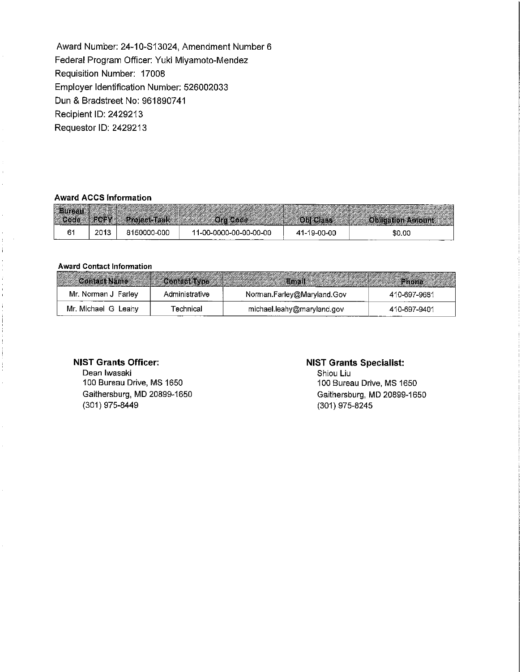Award Number: 24-10-S13024, Amendment Number 6 Federal Program Officer: Yuki Miyamoto-Mendez Requisition Number: 17008 Employer Identification Number: 526002033 Dun & Bradstreet No: 961890741 Recipient ID: 2429213 Requester ID: 2429213

#### **Award ACCS Information**

| 缓慢 |      |             |                        |             |        |
|----|------|-------------|------------------------|-------------|--------|
| -- | 2013 | 8150000-000 | 11-00-0000-00-00-00-00 | 41-19-00-00 | \$0.00 |

#### **Award Contact Information**

| <b>Contact Name Contact Type Contact Type Contact Name Contact Name Contact Type Contact Type Contact Type Contact Type Contact Type Contact Type Contact Type Contact Type Contact Type Contact Type Contact Type Contact Type </b> |                |                            |               |
|--------------------------------------------------------------------------------------------------------------------------------------------------------------------------------------------------------------------------------------|----------------|----------------------------|---------------|
| Mr. Norman J Farley                                                                                                                                                                                                                  | Administrative | Norman.Farley@Maryland.Gov | 410-697-9681  |
| Mr. Michael G Leahy                                                                                                                                                                                                                  | Technical      | michael.leahy@maryland.gov | -410-697-9401 |

#### **NIST Grants Officer:**

Dean Iwasaki 100 Bureau Drive, MS 1650 Gaithersburg, **MD** 20899-1650 (301) 975-8449

#### **NIST Grants Specialist:**

Shiou Liu 100 Bureau Drive, MS 1650 Gaithersburg, MD 20899-1650 (301) 975-8245